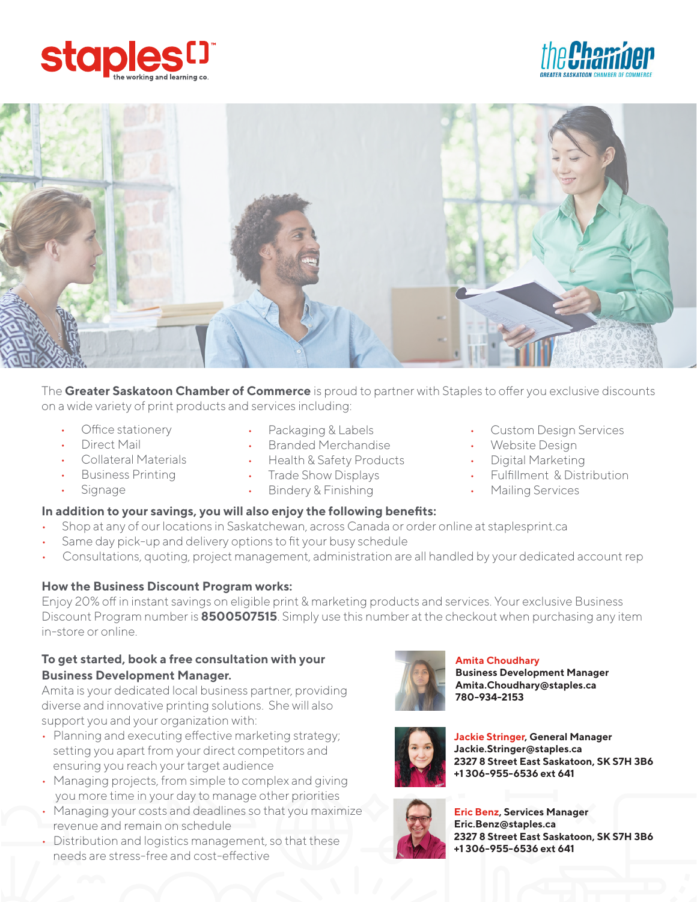





The **Greater Saskatoon Chamber of Commerce** is proud to partner with Staples to offer you exclusive discounts on a wide variety of print products and services including:

- Office stationery
- Direct Mail
- Collateral Materials
- Business Printing
- **Signage**
- Packaging & Labels
- Branded Merchandise
- Health & Safety Products
- Trade Show Displays
- Bindery & Finishing

#### **In addition to your savings, you will also enjoy the following benefits:**

- Shop at any of our locations in Saskatchewan, across Canada or order online at staplesprint.ca
- Same day pick-up and delivery options to fit your busy schedule
- Consultations, quoting, project management, administration are all handled by your dedicated account rep

#### **How the Business Discount Program works:**

Enjoy 20% off in instant savings on eligible print & marketing products and services. Your exclusive Business Discount Program number is **8500507515**. Simply use this number at the checkout when purchasing any item in-store or online.

## **To get started, book a free consultation with your Business Development Manager.**

Amita is your dedicated local business partner, providing diverse and innovative printing solutions. She will also support you and your organization with:

- Planning and executing effective marketing strategy; setting you apart from your direct competitors and ensuring you reach your target audience
- Managing projects, from simple to complex and giving you more time in your day to manage other priorities
- Managing your costs and deadlines so that you maximize revenue and remain on schedule
- Distribution and logistics management, so that these needs are stress-free and cost-effective



#### **Amita Choudhary**

**Business Development Manager Amita.Choudhary@staples.ca 780-934-2153**



**Jackie Stringer, General Manager Jackie.Stringer@staples.ca 2327 8 Street East Saskatoon, SK S7H 3B6 +1 306-955-6536 ext 641**



**Eric Benz, Services Manager Eric.Benz@staples.ca 2327 8 Street East Saskatoon, SK S7H 3B6 +1 306-955-6536 ext 641** 

- Custom Design Services
- Website Design
- Digital Marketing
- Fulfillment & Distribution
- Mailing Services